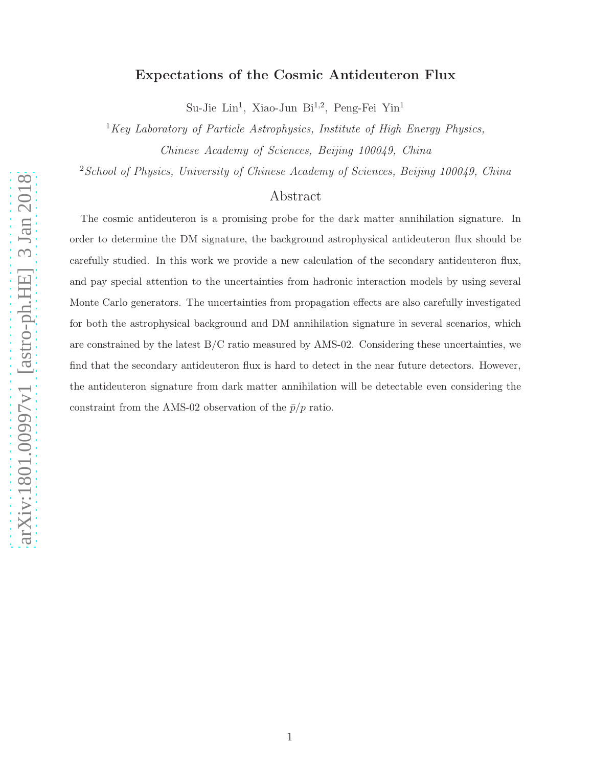# Expectations of the Cosmic Antideuteron Flux

Su-Jie Lin<sup>1</sup>, Xiao-Jun Bi<sup>1,2</sup>, Peng-Fei Yin<sup>1</sup>

 ${}^{1}$ Key Laboratory of Particle Astrophysics, Institute of High Energy Physics, Chinese Academy of Sciences, Beijing 100049, China

<sup>2</sup> School of Physics, University of Chinese Academy of Sciences, Beijing 100049, China

## Abstract

The cosmic antideuteron is a promising probe for the dark matter annihilation signature. In order to determine the DM signature, the background astrophysical antideuteron flux should be carefully studied. In this work we provide a new calculation of the secondary antideuteron flux, and pay special attention to the uncertainties from hadronic interaction models by using several Monte Carlo generators. The uncertainties from propagation effects are also carefully investigated for both the astrophysical background and DM annihilation signature in several scenarios, which are constrained by the latest  $B/C$  ratio measured by AMS-02. Considering these uncertainties, we find that the secondary antideuteron flux is hard to detect in the near future detectors. However, the antideuteron signature from dark matter annihilation will be detectable even considering the constraint from the AMS-02 observation of the  $\bar{p}/p$  ratio.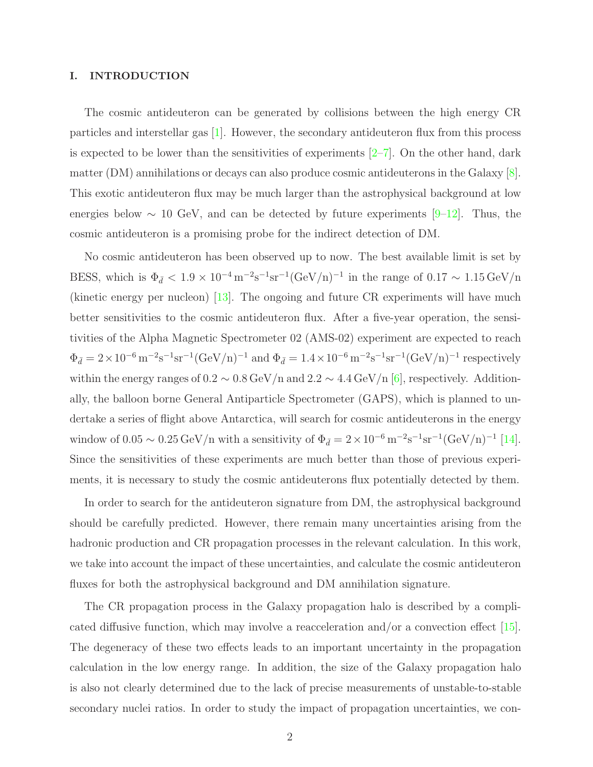#### I. INTRODUCTION

The cosmic antideuteron can be generated by collisions between the high energy CR particles and interstellar gas [\[1](#page-17-0)]. However, the secondary antideuteron flux from this process is expected to be lower than the sensitivities of experiments  $[2-7]$ . On the other hand, dark matter (DM) annihilations or decays can also produce cosmic antideuterons in the Galaxy [\[8\]](#page-17-3). This exotic antideuteron flux may be much larger than the astrophysical background at low energies below  $\sim 10$  GeV, and can be detected by future experiments [\[9](#page-18-0)[–12\]](#page-18-1). Thus, the cosmic antideuteron is a promising probe for the indirect detection of DM.

No cosmic antideuteron has been observed up to now. The best available limit is set by BESS, which is  $\Phi_{\bar{d}} < 1.9 \times 10^{-4} \,\mathrm{m}^{-2} \mathrm{s}^{-1} \mathrm{sr}^{-1} (\mathrm{GeV/n})^{-1}$  in the range of  $0.17 \sim 1.15 \,\mathrm{GeV/n}$ (kinetic energy per nucleon) [\[13\]](#page-18-2). The ongoing and future CR experiments will have much better sensitivities to the cosmic antideuteron flux. After a five-year operation, the sensitivities of the Alpha Magnetic Spectrometer 02 (AMS-02) experiment are expected to reach  $\Phi_{\bar{d}} = 2 \times 10^{-6} \,\mathrm{m}^{-2} \mathrm{s}^{-1} \mathrm{sr}^{-1} (\mathrm{GeV/n})^{-1}$  and  $\Phi_{\bar{d}} = 1.4 \times 10^{-6} \,\mathrm{m}^{-2} \mathrm{s}^{-1} \mathrm{sr}^{-1} (\mathrm{GeV/n})^{-1}$  respectively within the energy ranges of  $0.2 \sim 0.8 \,\text{GeV/n}$  and  $2.2 \sim 4.4 \,\text{GeV/n}$  [\[6\]](#page-17-4), respectively. Additionally, the balloon borne General Antiparticle Spectrometer (GAPS), which is planned to undertake a series of flight above Antarctica, will search for cosmic antideuterons in the energy window of 0.05 ~ 0.25 GeV/n with a sensitivity of  $\Phi_{\bar{d}} = 2 \times 10^{-6} \,\mathrm{m}^{-2} \mathrm{s}^{-1} \mathrm{sr}^{-1} (\mathrm{GeV/n})^{-1}$  [\[14\]](#page-18-3). Since the sensitivities of these experiments are much better than those of previous experiments, it is necessary to study the cosmic antideuterons flux potentially detected by them.

In order to search for the antideuteron signature from DM, the astrophysical background should be carefully predicted. However, there remain many uncertainties arising from the hadronic production and CR propagation processes in the relevant calculation. In this work, we take into account the impact of these uncertainties, and calculate the cosmic antideuteron fluxes for both the astrophysical background and DM annihilation signature.

The CR propagation process in the Galaxy propagation halo is described by a complicated diffusive function, which may involve a reacceleration and/or a convection effect [\[15\]](#page-18-4). The degeneracy of these two effects leads to an important uncertainty in the propagation calculation in the low energy range. In addition, the size of the Galaxy propagation halo is also not clearly determined due to the lack of precise measurements of unstable-to-stable secondary nuclei ratios. In order to study the impact of propagation uncertainties, we con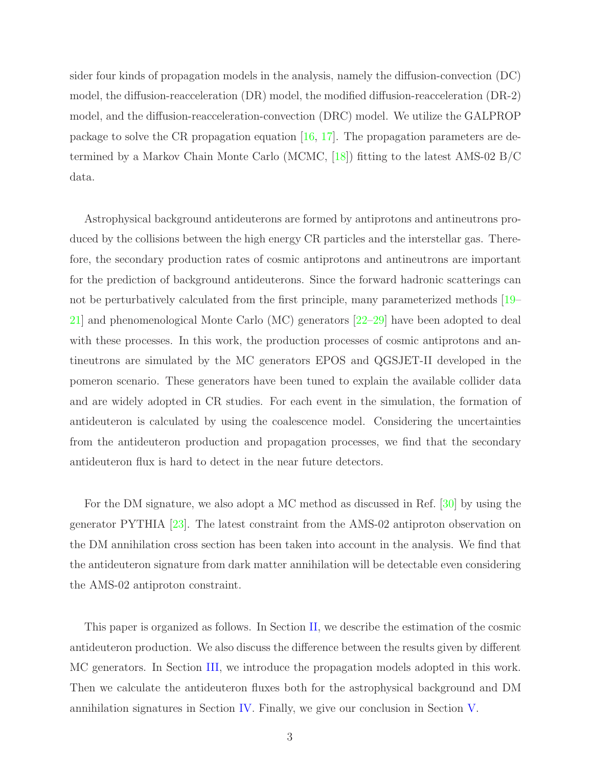sider four kinds of propagation models in the analysis, namely the diffusion-convection (DC) model, the diffusion-reacceleration (DR) model, the modified diffusion-reacceleration (DR-2) model, and the diffusion-reacceleration-convection (DRC) model. We utilize the GALPROP package to solve the CR propagation equation  $[16, 17]$  $[16, 17]$  $[16, 17]$ . The propagation parameters are determined by a Markov Chain Monte Carlo (MCMC, [\[18](#page-18-7)]) fitting to the latest AMS-02 B/C data.

Astrophysical background antideuterons are formed by antiprotons and antineutrons produced by the collisions between the high energy CR particles and the interstellar gas. Therefore, the secondary production rates of cosmic antiprotons and antineutrons are important for the prediction of background antideuterons. Since the forward hadronic scatterings can not be perturbatively calculated from the first principle, many parameterized methods [\[19](#page-18-8)– [21\]](#page-18-9) and phenomenological Monte Carlo (MC) generators [\[22](#page-18-10)[–29\]](#page-19-0) have been adopted to deal with these processes. In this work, the production processes of cosmic antiprotons and antineutrons are simulated by the MC generators EPOS and QGSJET-II developed in the pomeron scenario. These generators have been tuned to explain the available collider data and are widely adopted in CR studies. For each event in the simulation, the formation of antideuteron is calculated by using the coalescence model. Considering the uncertainties from the antideuteron production and propagation processes, we find that the secondary antideuteron flux is hard to detect in the near future detectors.

For the DM signature, we also adopt a MC method as discussed in Ref. [\[30\]](#page-19-1) by using the generator PYTHIA [\[23\]](#page-18-11). The latest constraint from the AMS-02 antiproton observation on the DM annihilation cross section has been taken into account in the analysis. We find that the antideuteron signature from dark matter annihilation will be detectable even considering the AMS-02 antiproton constraint.

This paper is organized as follows. In Section [II,](#page-3-0) we describe the estimation of the cosmic antideuteron production. We also discuss the difference between the results given by different MC generators. In Section [III,](#page-8-0) we introduce the propagation models adopted in this work. Then we calculate the antideuteron fluxes both for the astrophysical background and DM annihilation signatures in Section [IV.](#page-11-0) Finally, we give our conclusion in Section [V.](#page-16-0)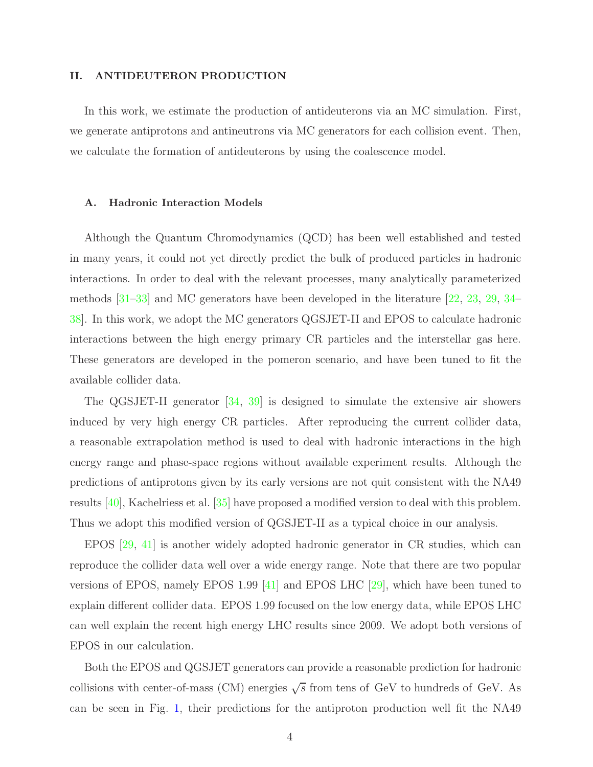#### <span id="page-3-0"></span>II. ANTIDEUTERON PRODUCTION

In this work, we estimate the production of antideuterons via an MC simulation. First, we generate antiprotons and antineutrons via MC generators for each collision event. Then, we calculate the formation of antideuterons by using the coalescence model.

#### A. Hadronic Interaction Models

Although the Quantum Chromodynamics (QCD) has been well established and tested in many years, it could not yet directly predict the bulk of produced particles in hadronic interactions. In order to deal with the relevant processes, many analytically parameterized methods [\[31](#page-19-2)[–33](#page-19-3)] and MC generators have been developed in the literature [\[22,](#page-18-10) [23,](#page-18-11) [29](#page-19-0), [34](#page-19-4)– [38\]](#page-19-5). In this work, we adopt the MC generators QGSJET-II and EPOS to calculate hadronic interactions between the high energy primary CR particles and the interstellar gas here. These generators are developed in the pomeron scenario, and have been tuned to fit the available collider data.

The QGSJET-II generator [\[34,](#page-19-4) [39](#page-19-6)] is designed to simulate the extensive air showers induced by very high energy CR particles. After reproducing the current collider data, a reasonable extrapolation method is used to deal with hadronic interactions in the high energy range and phase-space regions without available experiment results. Although the predictions of antiprotons given by its early versions are not quit consistent with the NA49 results [\[40](#page-19-7)], Kachelriess et al. [\[35\]](#page-19-8) have proposed a modified version to deal with this problem. Thus we adopt this modified version of QGSJET-II as a typical choice in our analysis.

EPOS [\[29](#page-19-0), [41\]](#page-19-9) is another widely adopted hadronic generator in CR studies, which can reproduce the collider data well over a wide energy range. Note that there are two popular versions of EPOS, namely EPOS 1.99 [\[41](#page-19-9)] and EPOS LHC [\[29](#page-19-0)], which have been tuned to explain different collider data. EPOS 1.99 focused on the low energy data, while EPOS LHC can well explain the recent high energy LHC results since 2009. We adopt both versions of EPOS in our calculation.

Both the EPOS and QGSJET generators can provide a reasonable prediction for hadronic collisions with center-of-mass (CM) energies  $\sqrt{s}$  from tens of GeV to hundreds of GeV. As can be seen in Fig. [1,](#page-4-0) their predictions for the antiproton production well fit the NA49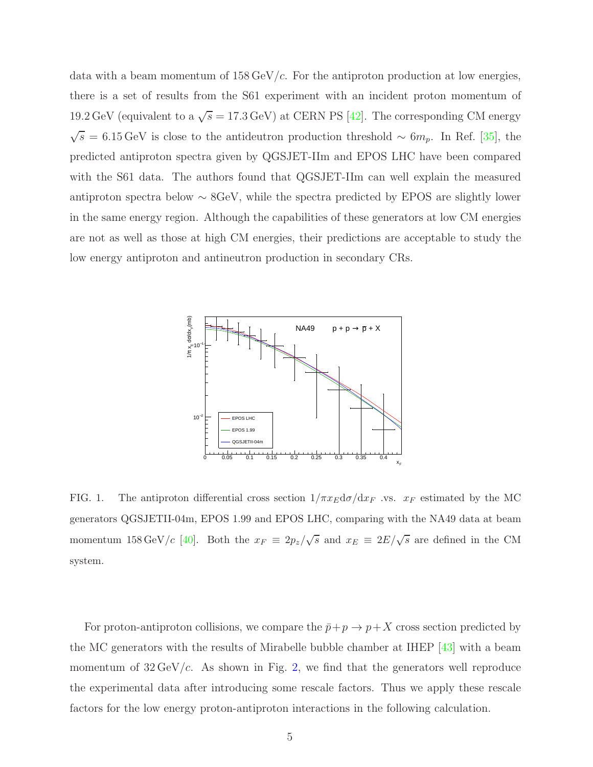data with a beam momentum of  $158 \,\text{GeV}/c$ . For the antiproton production at low energies, there is a set of results from the S61 experiment with an incident proton momentum of 19.2 GeV (equivalent to a  $\sqrt{s} = 17.3$  GeV) at CERN PS [\[42\]](#page-19-10). The corresponding CM energy  $\sqrt{s}$  = 6.15 GeV is close to the antideutron production threshold ~ 6 $m_p$ . In Ref. [\[35\]](#page-19-8), the predicted antiproton spectra given by QGSJET-IIm and EPOS LHC have been compared with the S61 data. The authors found that QGSJET-IIm can well explain the measured antiproton spectra below ∼ 8GeV, while the spectra predicted by EPOS are slightly lower in the same energy region. Although the capabilities of these generators at low CM energies are not as well as those at high CM energies, their predictions are acceptable to study the low energy antiproton and antineutron production in secondary CRs.



<span id="page-4-0"></span>FIG. 1. The antiproton differential cross section  $1/\pi x_E d\sigma/dx_F$  .vs.  $x_F$  estimated by the MC generators QGSJETII-04m, EPOS 1.99 and EPOS LHC, comparing with the NA49 data at beam momentum 158 GeV/c [\[40](#page-19-7)]. Both the  $x_F \equiv 2p_z/\sqrt{s}$  and  $x_E \equiv 2E/\sqrt{s}$  are defined in the CM system.

For proton-antiproton collisions, we compare the  $\bar{p}+p \to p+X$  cross section predicted by the MC generators with the results of Mirabelle bubble chamber at IHEP [\[43](#page-19-11)] with a beam momentum of  $32 \,\text{GeV}/c$ . As shown in Fig. [2,](#page-5-0) we find that the generators well reproduce the experimental data after introducing some rescale factors. Thus we apply these rescale factors for the low energy proton-antiproton interactions in the following calculation.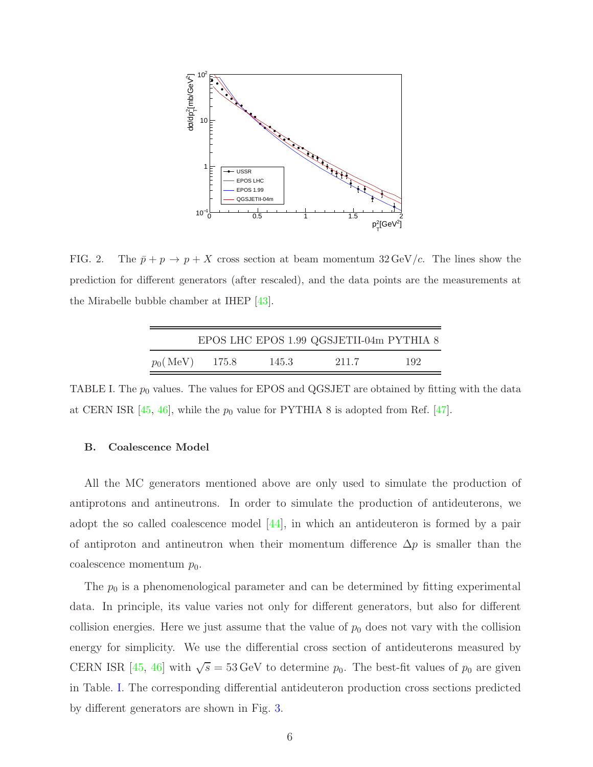

<span id="page-5-0"></span>FIG. 2. The  $\bar{p} + p \rightarrow p + X$  cross section at beam momentum 32 GeV/c. The lines show the prediction for different generators (after rescaled), and the data points are the measurements at the Mirabelle bubble chamber at IHEP [\[43\]](#page-19-11).

|                   |       |       | EPOS LHC EPOS 1.99 QGSJETII-04m PYTHIA 8 |     |
|-------------------|-------|-------|------------------------------------------|-----|
| $p_0(\text{MeV})$ | 175.8 | 145.3 | 211.7                                    | 192 |

<span id="page-5-1"></span>TABLE I. The  $p_0$  values. The values for EPOS and QGSJET are obtained by fitting with the data at CERN ISR  $[45, 46]$  $[45, 46]$ , while the  $p_0$  value for PYTHIA 8 is adopted from Ref. [\[47](#page-19-14)].

## B. Coalescence Model

All the MC generators mentioned above are only used to simulate the production of antiprotons and antineutrons. In order to simulate the production of antideuterons, we adopt the so called coalescence model  $|44|$ , in which an antideuteron is formed by a pair of antiproton and antineutron when their momentum difference  $\Delta p$  is smaller than the coalescence momentum  $p_0$ .

The  $p_0$  is a phenomenological parameter and can be determined by fitting experimental data. In principle, its value varies not only for different generators, but also for different collision energies. Here we just assume that the value of  $p_0$  does not vary with the collision energy for simplicity. We use the differential cross section of antideuterons measured by CERN ISR [\[45](#page-19-12), [46\]](#page-19-13) with  $\sqrt{s} = 53 \,\text{GeV}$  to determine  $p_0$ . The best-fit values of  $p_0$  are given in Table. [I.](#page-5-1) The corresponding differential antideuteron production cross sections predicted by different generators are shown in Fig. [3.](#page-6-0)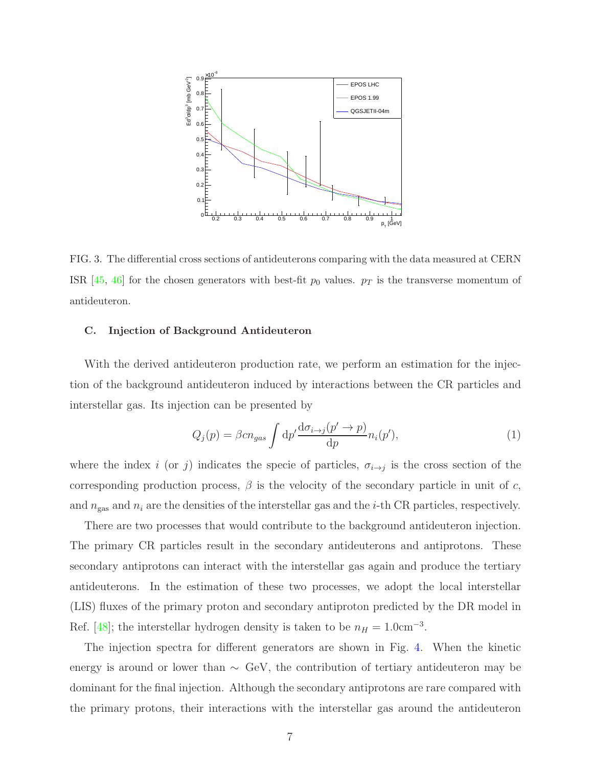

<span id="page-6-0"></span>FIG. 3. The differential cross sections of antideuterons comparing with the data measured at CERN ISR [\[45](#page-19-12), [46](#page-19-13)] for the chosen generators with best-fit  $p_0$  values.  $p_T$  is the transverse momentum of antideuteron.

## C. Injection of Background Antideuteron

With the derived antideuteron production rate, we perform an estimation for the injection of the background antideuteron induced by interactions between the CR particles and interstellar gas. Its injection can be presented by

$$
Q_j(p) = \beta c n_{gas} \int \mathrm{d}p' \frac{\mathrm{d}\sigma_{i \to j}(p' \to p)}{\mathrm{d}p} n_i(p'),\tag{1}
$$

where the index i (or j) indicates the specie of particles,  $\sigma_{i\rightarrow j}$  is the cross section of the corresponding production process,  $\beta$  is the velocity of the secondary particle in unit of c, and  $n_{\text{gas}}$  and  $n_i$  are the densities of the interstellar gas and the *i*-th CR particles, respectively.

There are two processes that would contribute to the background antideuteron injection. The primary CR particles result in the secondary antideuterons and antiprotons. These secondary antiprotons can interact with the interstellar gas again and produce the tertiary antideuterons. In the estimation of these two processes, we adopt the local interstellar (LIS) fluxes of the primary proton and secondary antiproton predicted by the DR model in Ref. [\[48\]](#page-19-16); the interstellar hydrogen density is taken to be  $n_H = 1.0 \text{cm}^{-3}$ .

The injection spectra for different generators are shown in Fig. [4.](#page-7-0) When the kinetic energy is around or lower than ∼ GeV, the contribution of tertiary antideuteron may be dominant for the final injection. Although the secondary antiprotons are rare compared with the primary protons, their interactions with the interstellar gas around the antideuteron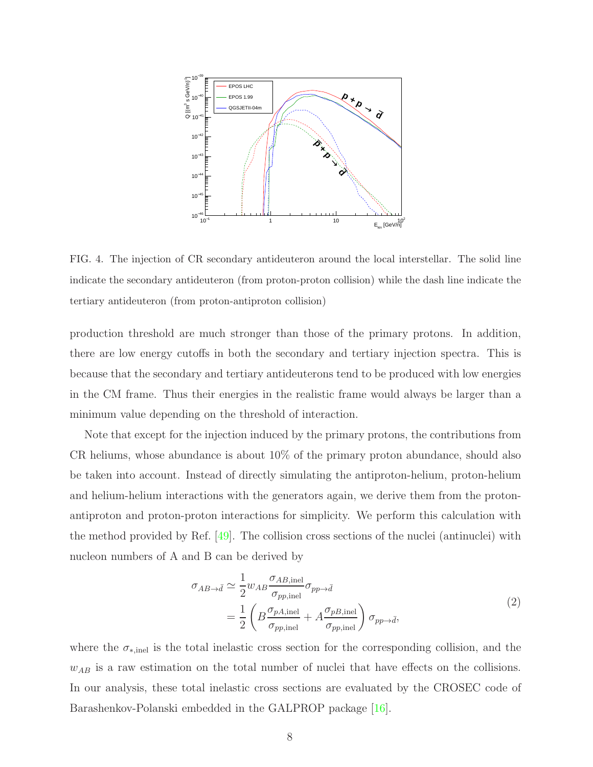

<span id="page-7-0"></span>FIG. 4. The injection of CR secondary antideuteron around the local interstellar. The solid line indicate the secondary antideuteron (from proton-proton collision) while the dash line indicate the tertiary antideuteron (from proton-antiproton collision)

production threshold are much stronger than those of the primary protons. In addition, there are low energy cutoffs in both the secondary and tertiary injection spectra. This is because that the secondary and tertiary antideuterons tend to be produced with low energies in the CM frame. Thus their energies in the realistic frame would always be larger than a minimum value depending on the threshold of interaction.

Note that except for the injection induced by the primary protons, the contributions from CR heliums, whose abundance is about 10% of the primary proton abundance, should also be taken into account. Instead of directly simulating the antiproton-helium, proton-helium and helium-helium interactions with the generators again, we derive them from the protonantiproton and proton-proton interactions for simplicity. We perform this calculation with the method provided by Ref. [\[49\]](#page-19-17). The collision cross sections of the nuclei (antinuclei) with nucleon numbers of A and B can be derived by

$$
\sigma_{AB \to \bar{d}} \simeq \frac{1}{2} w_{AB} \frac{\sigma_{AB, \text{inel}}}{\sigma_{pp, \text{inel}}} \sigma_{pp \to \bar{d}}
$$
\n
$$
= \frac{1}{2} \left( B \frac{\sigma_{pA, \text{inel}}}{\sigma_{pp, \text{inel}}} + A \frac{\sigma_{pB, \text{inel}}}{\sigma_{pp, \text{inel}}} \right) \sigma_{pp \to \bar{d}},
$$
\n(2)

where the  $\sigma_{*,\text{inel}}$  is the total inelastic cross section for the corresponding collision, and the  $w_{AB}$  is a raw estimation on the total number of nuclei that have effects on the collisions. In our analysis, these total inelastic cross sections are evaluated by the CROSEC code of Barashenkov-Polanski embedded in the GALPROP package [\[16](#page-18-5)].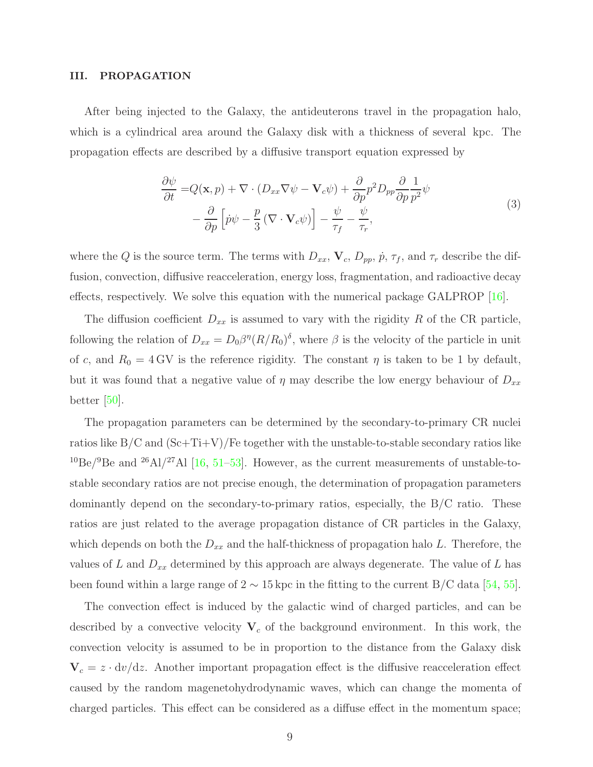#### <span id="page-8-0"></span>III. PROPAGATION

After being injected to the Galaxy, the antideuterons travel in the propagation halo, which is a cylindrical area around the Galaxy disk with a thickness of several kpc. The propagation effects are described by a diffusive transport equation expressed by

$$
\frac{\partial \psi}{\partial t} = Q(\mathbf{x}, p) + \nabla \cdot (D_{xx} \nabla \psi - \mathbf{V}_c \psi) + \frac{\partial}{\partial p} p^2 D_{pp} \frac{\partial}{\partial p} \frac{1}{p^2} \psi \n- \frac{\partial}{\partial p} \left[ \dot{p} \psi - \frac{p}{3} \left( \nabla \cdot \mathbf{V}_c \psi \right) \right] - \frac{\psi}{\tau_f} - \frac{\psi}{\tau_r},
$$
\n(3)

<span id="page-8-1"></span>where the Q is the source term. The terms with  $D_{xx}$ ,  $\mathbf{V}_c$ ,  $D_{pp}$ ,  $\dot{p}$ ,  $\tau_f$ , and  $\tau_r$  describe the diffusion, convection, diffusive reacceleration, energy loss, fragmentation, and radioactive decay effects, respectively. We solve this equation with the numerical package GALPROP [\[16](#page-18-5)].

The diffusion coefficient  $D_{xx}$  is assumed to vary with the rigidity R of the CR particle, following the relation of  $D_{xx} = D_0 \beta^{\eta} (R/R_0)^{\delta}$ , where  $\beta$  is the velocity of the particle in unit of c, and  $R_0 = 4$  GV is the reference rigidity. The constant  $\eta$  is taken to be 1 by default, but it was found that a negative value of  $\eta$  may describe the low energy behaviour of  $D_{xx}$ better [\[50\]](#page-20-0).

The propagation parameters can be determined by the secondary-to-primary CR nuclei ratios like  $B/C$  and  $(Sc+Ti+V)/Fe$  together with the unstable-to-stable secondary ratios like <sup>10</sup>Be/<sup>9</sup>Be and <sup>26</sup>Al/<sup>27</sup>Al [\[16](#page-18-5), [51](#page-20-1)[–53](#page-20-2)]. However, as the current measurements of unstable-tostable secondary ratios are not precise enough, the determination of propagation parameters dominantly depend on the secondary-to-primary ratios, especially, the B/C ratio. These ratios are just related to the average propagation distance of CR particles in the Galaxy, which depends on both the  $D_{xx}$  and the half-thickness of propagation halo L. Therefore, the values of L and  $D_{xx}$  determined by this approach are always degenerate. The value of L has been found within a large range of  $2 \sim 15$  kpc in the fitting to the current B/C data [\[54](#page-20-3), [55\]](#page-20-4).

The convection effect is induced by the galactic wind of charged particles, and can be described by a convective velocity  $V_c$  of the background environment. In this work, the convection velocity is assumed to be in proportion to the distance from the Galaxy disk  $V_c = z \cdot dv/dz$ . Another important propagation effect is the diffusive reacceleration effect caused by the random magenetohydrodynamic waves, which can change the momenta of charged particles. This effect can be considered as a diffuse effect in the momentum space;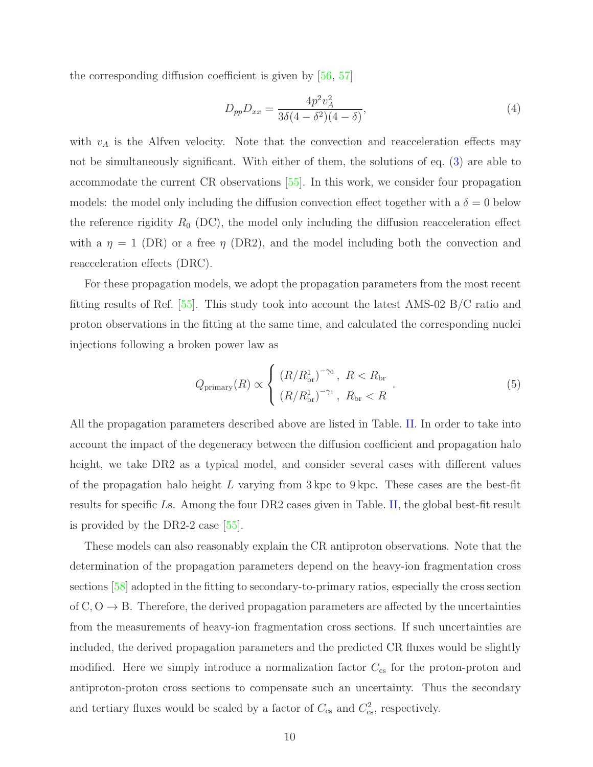the corresponding diffusion coefficient is given by [\[56,](#page-20-5) [57\]](#page-20-6)

$$
D_{pp}D_{xx} = \frac{4p^2v_A^2}{3\delta(4-\delta^2)(4-\delta)},
$$
\n(4)

with  $v_A$  is the Alfven velocity. Note that the convection and reacceleration effects may not be simultaneously significant. With either of them, the solutions of eq. [\(3\)](#page-8-1) are able to accommodate the current CR observations [\[55](#page-20-4)]. In this work, we consider four propagation models: the model only including the diffusion convection effect together with a  $\delta = 0$  below the reference rigidity  $R_0$  (DC), the model only including the diffusion reacceleration effect with a  $\eta = 1$  (DR) or a free  $\eta$  (DR2), and the model including both the convection and reacceleration effects (DRC).

For these propagation models, we adopt the propagation parameters from the most recent fitting results of Ref. [\[55\]](#page-20-4). This study took into account the latest AMS-02 B/C ratio and proton observations in the fitting at the same time, and calculated the corresponding nuclei injections following a broken power law as

$$
Q_{\text{primary}}(R) \propto \begin{cases} (R/R_{\text{br}}^{1})^{-\gamma_{0}}, & R < R_{\text{br}} \\ (R/R_{\text{br}}^{1})^{-\gamma_{1}}, & R_{\text{br}} < R \end{cases} . \tag{5}
$$

All the propagation parameters described above are listed in Table. [II.](#page-10-0) In order to take into account the impact of the degeneracy between the diffusion coefficient and propagation halo height, we take DR2 as a typical model, and consider several cases with different values of the propagation halo height L varying from  $3 \text{ kpc}$  to  $9 \text{ kpc}$ . These cases are the best-fit results for specific Ls. Among the four DR2 cases given in Table. [II,](#page-10-0) the global best-fit result is provided by the DR2-2 case [\[55](#page-20-4)].

These models can also reasonably explain the CR antiproton observations. Note that the determination of the propagation parameters depend on the heavy-ion fragmentation cross sections [\[58\]](#page-20-7) adopted in the fitting to secondary-to-primary ratios, especially the cross section of  $C, O \rightarrow B$ . Therefore, the derived propagation parameters are affected by the uncertainties from the measurements of heavy-ion fragmentation cross sections. If such uncertainties are included, the derived propagation parameters and the predicted CR fluxes would be slightly modified. Here we simply introduce a normalization factor  $C_{\rm cs}$  for the proton-proton and antiproton-proton cross sections to compensate such an uncertainty. Thus the secondary and tertiary fluxes would be scaled by a factor of  $C_{\text{cs}}$  and  $C_{\text{cs}}^2$ , respectively.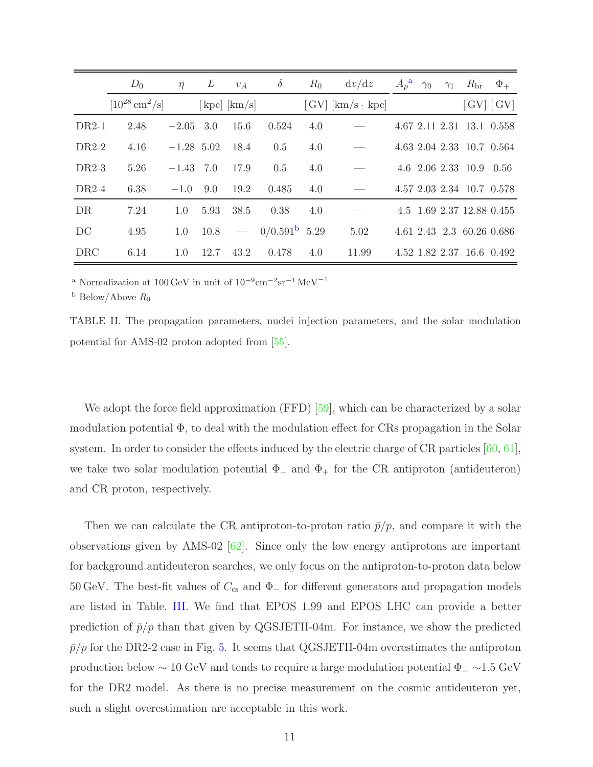|            | $D_0$                                  | $\eta$       | L    | $v_A$                         | $\delta$               | $R_0$ | dv/dz                     | $A_p^{\mathbf{a}}$ | $\gamma_0$ | $\gamma_1$ | $R_{\rm br}$            | $\Phi_+$                                                                |
|------------|----------------------------------------|--------------|------|-------------------------------|------------------------|-------|---------------------------|--------------------|------------|------------|-------------------------|-------------------------------------------------------------------------|
|            | $[10^{28} \,\mathrm{cm}^2/\mathrm{s}]$ |              |      | $[\text{kpc}]\ [\text{km/s}]$ |                        |       | $[GV]$ $[km/s \cdot kpc]$ |                    |            |            |                         | $\left\lceil \text{GV} \right\rceil \left\lceil \text{GV} \right\rceil$ |
| $DR2-1$    | 2.48                                   | $-2.05$ 3.0  |      | 15.6                          | 0.524                  | 4.0   |                           |                    |            |            |                         | 4.67 2.11 2.31 13.1 0.558                                               |
| $DR2-2$    | 4.16                                   | $-1.28$ 5.02 |      | 18.4                          | 0.5                    | 4.0   |                           |                    |            |            |                         | 4.63 2.04 2.33 10.7 0.564                                               |
| $DR2-3$    | 5.26                                   | $-1.43$ 7.0  |      | 17.9                          | 0.5                    | 4.0   |                           |                    |            |            | 4.6 2.06 2.33 10.9 0.56 |                                                                         |
| $DR2-4$    | 6.38                                   | $-1.0$       | 9.0  | 19.2                          | 0.485                  | 4.0   |                           |                    |            |            |                         | 4.57 2.03 2.34 10.7 0.578                                               |
| DR         | 7.24                                   | 1.0          | 5.93 | 38.5                          | 0.38                   | 4.0   |                           |                    |            |            |                         | 4.5 1.69 2.37 12.88 0.455                                               |
| DC         | 4.95                                   | 1.0          | 10.8 | $\frac{1}{2}$                 | $0/0.591^{\rm b}$ 5.29 |       | 5.02                      |                    |            |            |                         | 4.61 2.43 2.3 60.26 0.686                                               |
| <b>DRC</b> | 6.14                                   | 1.0          | 12.7 | 43.2                          | 0.478                  | 4.0   | 11.99                     |                    |            |            |                         | 4.52 1.82 2.37 16.6 0.492                                               |

 $^{\rm a}$ Normalization at 100 GeV in unit of  $10^{-9} \rm cm^{-2} sr^{-1} \, MeV^{-1}$ 

<span id="page-10-2"></span><span id="page-10-1"></span><sup>b</sup> Below/Above  $R_0$ 

<span id="page-10-0"></span>TABLE II. The propagation parameters, nuclei injection parameters, and the solar modulation potential for AMS-02 proton adopted from [\[55\]](#page-20-4).

We adopt the force field approximation (FFD) [\[59\]](#page-20-8), which can be characterized by a solar modulation potential  $\Phi$ , to deal with the modulation effect for CRs propagation in the Solar system. In order to consider the effects induced by the electric charge of CR particles  $[60, 61]$  $[60, 61]$ , we take two solar modulation potential  $\Phi_-\$  and  $\Phi_+$  for the CR antiproton (antideuteron) and CR proton, respectively.

Then we can calculate the CR antiproton-to-proton ratio  $\bar{p}/p$ , and compare it with the observations given by AMS-02  $[62]$ . Since only the low energy antiprotons are important for background antideuteron searches, we only focus on the antiproton-to-proton data below 50 GeV. The best-fit values of  $C_{\rm cs}$  and  $\Phi_{-}$  for different generators and propagation models are listed in Table. [III.](#page-11-1) We find that EPOS 1.99 and EPOS LHC can provide a better prediction of  $\bar{p}/p$  than that given by QGSJETII-04m. For instance, we show the predicted  $\bar{p}/p$  for the DR2-2 case in Fig. [5.](#page-11-2) It seems that QGSJETII-04m overestimates the antiproton production below  $\sim 10$  GeV and tends to require a large modulation potential  $\Phi_-\sim 1.5$  GeV for the DR2 model. As there is no precise measurement on the cosmic antideuteron yet, such a slight overestimation are acceptable in this work.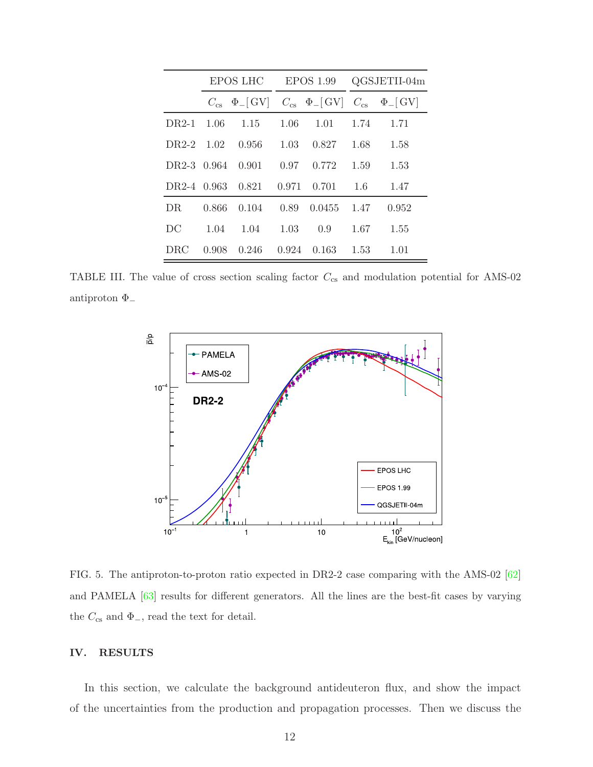|                   |       | EPOS LHC                                                                                                          |       | EPOS 1.99 | QGSJETII-04m |       |  |
|-------------------|-------|-------------------------------------------------------------------------------------------------------------------|-------|-----------|--------------|-------|--|
|                   |       | $C_{\rm cs}$ $\Phi$ <sub>-</sub> [GV] $C_{\rm cs}$ $\Phi$ <sub>-</sub> [GV] $C_{\rm cs}$ $\Phi$ <sub>-</sub> [GV] |       |           |              |       |  |
|                   |       | $DR2-1$ 1.06 1.15                                                                                                 | 1.06  | 1.01      | 1.74         | 1.71  |  |
| DR2-2 1.02        |       | 0.956                                                                                                             | 1.03  | 0.827     | 1.68         | 1.58  |  |
| DR2-3 0.964 0.901 |       |                                                                                                                   | 0.97  | 0.772     | 1.59         | 1.53  |  |
|                   |       | DR2-4 0.963 0.821 0.971                                                                                           |       | 0.701     | 1.6          | 1.47  |  |
| DR.               | 0.866 | 0.104                                                                                                             | 0.89  | 0.0455    | 1.47         | 0.952 |  |
| DC                | 1.04  | 1.04                                                                                                              | 1.03  | 0.9       | 1.67         | 1.55  |  |
| <b>DRC</b>        | 0.908 | 0.246                                                                                                             | 0.924 | 0.163     | 1.53         | 1.01  |  |

TABLE III. The value of cross section scaling factor  $C_{\text{cs}}$  and modulation potential for AMS-02 antiproton  $\Phi_-$ 

<span id="page-11-1"></span>

<span id="page-11-2"></span>FIG. 5. The antiproton-to-proton ratio expected in DR2-2 case comparing with the AMS-02 [\[62](#page-20-11)] and PAMELA [\[63\]](#page-20-12) results for different generators. All the lines are the best-fit cases by varying the  $C_{\text{cs}}$  and  $\Phi_{-}$ , read the text for detail.

## <span id="page-11-0"></span>IV. RESULTS

In this section, we calculate the background antideuteron flux, and show the impact of the uncertainties from the production and propagation processes. Then we discuss the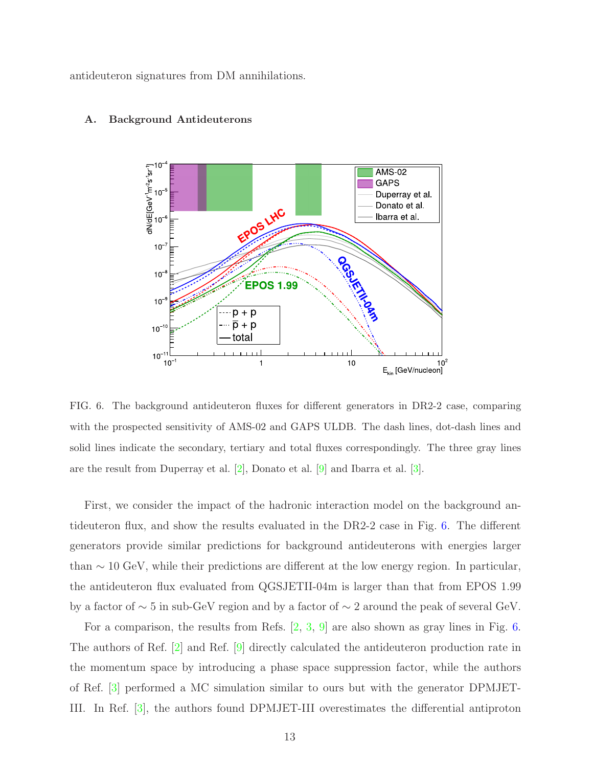antideuteron signatures from DM annihilations.



#### A. Background Antideuterons

<span id="page-12-0"></span>FIG. 6. The background antideuteron fluxes for different generators in DR2-2 case, comparing with the prospected sensitivity of AMS-02 and GAPS ULDB. The dash lines, dot-dash lines and solid lines indicate the secondary, tertiary and total fluxes correspondingly. The three gray lines are the result from Duperray et al. [\[2](#page-17-1)], Donato et al. [\[9\]](#page-18-0) and Ibarra et al. [\[3](#page-17-5)].

First, we consider the impact of the hadronic interaction model on the background antideuteron flux, and show the results evaluated in the DR2-2 case in Fig. [6.](#page-12-0) The different generators provide similar predictions for background antideuterons with energies larger than  $\sim$  10 GeV, while their predictions are different at the low energy region. In particular, the antideuteron flux evaluated from QGSJETII-04m is larger than that from EPOS 1.99 by a factor of ∼ 5 in sub-GeV region and by a factor of ∼ 2 around the peak of several GeV.

For a comparison, the results from Refs.  $[2, 3, 9]$  $[2, 3, 9]$  $[2, 3, 9]$  $[2, 3, 9]$  are also shown as gray lines in Fig. [6.](#page-12-0) The authors of Ref. [\[2](#page-17-1)] and Ref. [\[9](#page-18-0)] directly calculated the antideuteron production rate in the momentum space by introducing a phase space suppression factor, while the authors of Ref. [\[3\]](#page-17-5) performed a MC simulation similar to ours but with the generator DPMJET-III. In Ref. [\[3](#page-17-5)], the authors found DPMJET-III overestimates the differential antiproton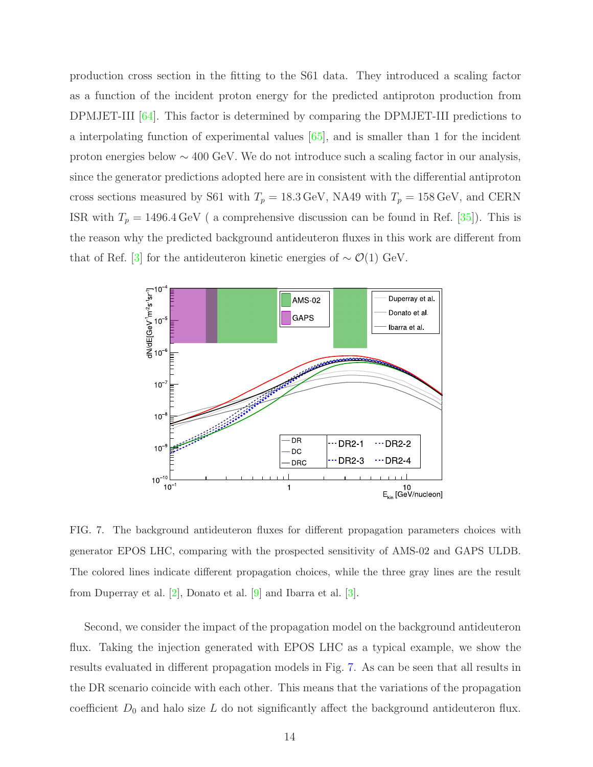production cross section in the fitting to the S61 data. They introduced a scaling factor as a function of the incident proton energy for the predicted antiproton production from DPMJET-III [\[64](#page-20-13)]. This factor is determined by comparing the DPMJET-III predictions to a interpolating function of experimental values [\[65](#page-20-14)], and is smaller than 1 for the incident proton energies below ∼ 400 GeV. We do not introduce such a scaling factor in our analysis, since the generator predictions adopted here are in consistent with the differential antiproton cross sections measured by S61 with  $T_p = 18.3 \,\text{GeV}$ , NA49 with  $T_p = 158 \,\text{GeV}$ , and CERN ISR with  $T_p = 1496.4 \,\text{GeV}$  ( a comprehensive discussion can be found in Ref. [\[35\]](#page-19-8)). This is the reason why the predicted background antideuteron fluxes in this work are different from that of Ref. [\[3](#page-17-5)] for the antideuteron kinetic energies of  $\sim \mathcal{O}(1)$  GeV.



<span id="page-13-0"></span>FIG. 7. The background antideuteron fluxes for different propagation parameters choices with generator EPOS LHC, comparing with the prospected sensitivity of AMS-02 and GAPS ULDB. The colored lines indicate different propagation choices, while the three gray lines are the result from Duperray et al. [\[2\]](#page-17-1), Donato et al. [\[9](#page-18-0)] and Ibarra et al. [\[3\]](#page-17-5).

Second, we consider the impact of the propagation model on the background antideuteron flux. Taking the injection generated with EPOS LHC as a typical example, we show the results evaluated in different propagation models in Fig. [7.](#page-13-0) As can be seen that all results in the DR scenario coincide with each other. This means that the variations of the propagation coefficient  $D_0$  and halo size L do not significantly affect the background antideuteron flux.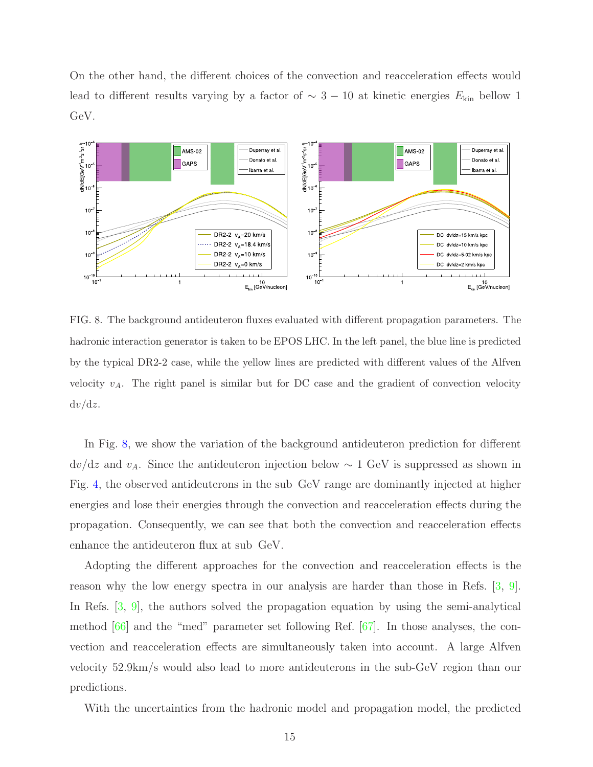On the other hand, the different choices of the convection and reacceleration effects would lead to different results varying by a factor of  $\sim 3 - 10$  at kinetic energies  $E_{kin}$  bellow 1 GeV.



<span id="page-14-0"></span>FIG. 8. The background antideuteron fluxes evaluated with different propagation parameters. The hadronic interaction generator is taken to be EPOS LHC. In the left panel, the blue line is predicted by the typical DR2-2 case, while the yellow lines are predicted with different values of the Alfven velocity  $v_A$ . The right panel is similar but for DC case and the gradient of convection velocity  $dv/dz$ .

In Fig. [8,](#page-14-0) we show the variation of the background antideuteron prediction for different  $dv/dz$  and  $v_A$ . Since the antideuteron injection below ~ 1 GeV is suppressed as shown in Fig. [4,](#page-7-0) the observed antideuterons in the sub GeV range are dominantly injected at higher energies and lose their energies through the convection and reacceleration effects during the propagation. Consequently, we can see that both the convection and reacceleration effects enhance the antideuteron flux at sub GeV.

Adopting the different approaches for the convection and reacceleration effects is the reason why the low energy spectra in our analysis are harder than those in Refs. [\[3](#page-17-5), [9\]](#page-18-0). In Refs. [\[3](#page-17-5), [9](#page-18-0)], the authors solved the propagation equation by using the semi-analytical method  $[66]$  and the "med" parameter set following Ref.  $[67]$ . In those analyses, the convection and reacceleration effects are simultaneously taken into account. A large Alfven velocity 52.9km/s would also lead to more antideuterons in the sub-GeV region than our predictions.

With the uncertainties from the hadronic model and propagation model, the predicted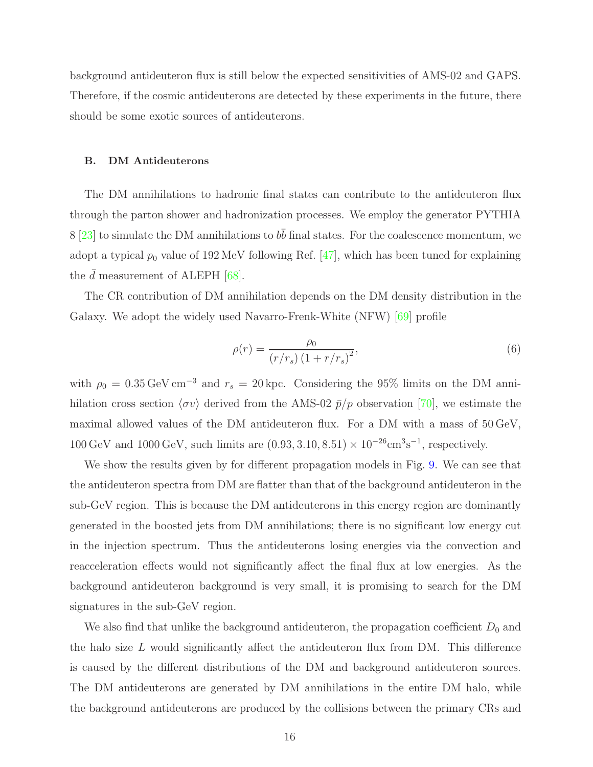background antideuteron flux is still below the expected sensitivities of AMS-02 and GAPS. Therefore, if the cosmic antideuterons are detected by these experiments in the future, there should be some exotic sources of antideuterons.

#### B. DM Antideuterons

The DM annihilations to hadronic final states can contribute to the antideuteron flux through the parton shower and hadronization processes. We employ the generator PYTHIA 8 [\[23\]](#page-18-11) to simulate the DM annihilations to  $b\bar{b}$  final states. For the coalescence momentum, we adopt a typical  $p_0$  value of 192 MeV following Ref. [\[47\]](#page-19-14), which has been tuned for explaining the  $\bar{d}$  measurement of ALEPH [\[68](#page-20-17)].

The CR contribution of DM annihilation depends on the DM density distribution in the Galaxy. We adopt the widely used Navarro-Frenk-White (NFW) [\[69](#page-20-18)] profile

$$
\rho(r) = \frac{\rho_0}{(r/r_s)(1 + r/r_s)^2},\tag{6}
$$

with  $\rho_0 = 0.35 \,\text{GeV} \,\text{cm}^{-3}$  and  $r_s = 20 \,\text{kpc}$ . Considering the 95% limits on the DM annihilation cross section  $\langle \sigma v \rangle$  derived from the AMS-02  $\bar{p}/p$  observation [\[70](#page-21-0)], we estimate the maximal allowed values of the DM antideuteron flux. For a DM with a mass of 50 GeV,  $100 \,\text{GeV}$  and  $1000 \,\text{GeV}$ , such limits are  $(0.93, 3.10, 8.51) \times 10^{-26} \text{cm}^3 \text{s}^{-1}$ , respectively.

We show the results given by for different propagation models in Fig. [9.](#page-16-1) We can see that the antideuteron spectra from DM are flatter than that of the background antideuteron in the sub-GeV region. This is because the DM antideuterons in this energy region are dominantly generated in the boosted jets from DM annihilations; there is no significant low energy cut in the injection spectrum. Thus the antideuterons losing energies via the convection and reacceleration effects would not significantly affect the final flux at low energies. As the background antideuteron background is very small, it is promising to search for the DM signatures in the sub-GeV region.

We also find that unlike the background antideuteron, the propagation coefficient  $D_0$  and the halo size  $L$  would significantly affect the antideuteron flux from DM. This difference is caused by the different distributions of the DM and background antideuteron sources. The DM antideuterons are generated by DM annihilations in the entire DM halo, while the background antideuterons are produced by the collisions between the primary CRs and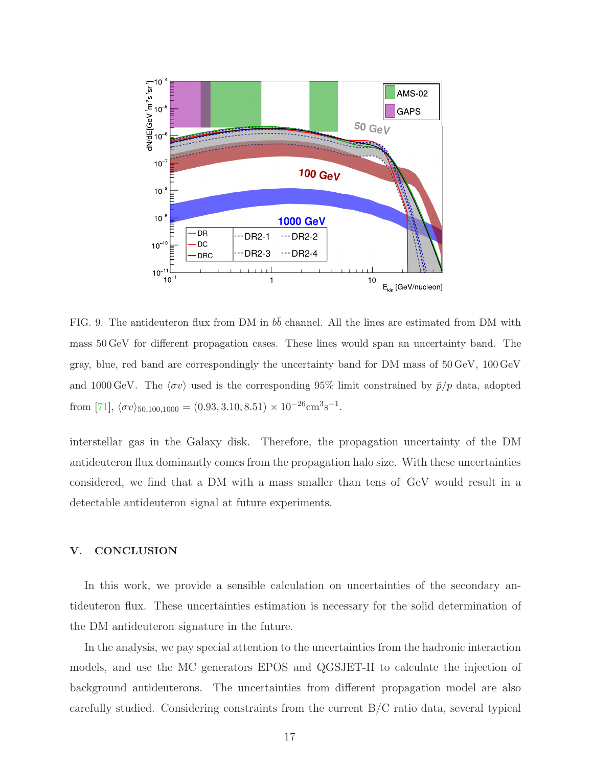

<span id="page-16-1"></span>FIG. 9. The antideuteron flux from DM in  $b\bar{b}$  channel. All the lines are estimated from DM with mass 50 GeV for different propagation cases. These lines would span an uncertainty band. The gray, blue, red band are correspondingly the uncertainty band for DM mass of 50 GeV, 100 GeV and 1000 GeV. The  $\langle \sigma v \rangle$  used is the corresponding 95% limit constrained by  $\bar{p}/p$  data, adopted from [\[71\]](#page-21-1),  $\langle \sigma v \rangle_{50,100,1000} = (0.93, 3.10, 8.51) \times 10^{-26} \text{cm}^3 \text{s}^{-1}$ .

interstellar gas in the Galaxy disk. Therefore, the propagation uncertainty of the DM antideuteron flux dominantly comes from the propagation halo size. With these uncertainties considered, we find that a DM with a mass smaller than tens of GeV would result in a detectable antideuteron signal at future experiments.

## <span id="page-16-0"></span>V. CONCLUSION

In this work, we provide a sensible calculation on uncertainties of the secondary antideuteron flux. These uncertainties estimation is necessary for the solid determination of the DM antideuteron signature in the future.

In the analysis, we pay special attention to the uncertainties from the hadronic interaction models, and use the MC generators EPOS and QGSJET-II to calculate the injection of background antideuterons. The uncertainties from different propagation model are also carefully studied. Considering constraints from the current B/C ratio data, several typical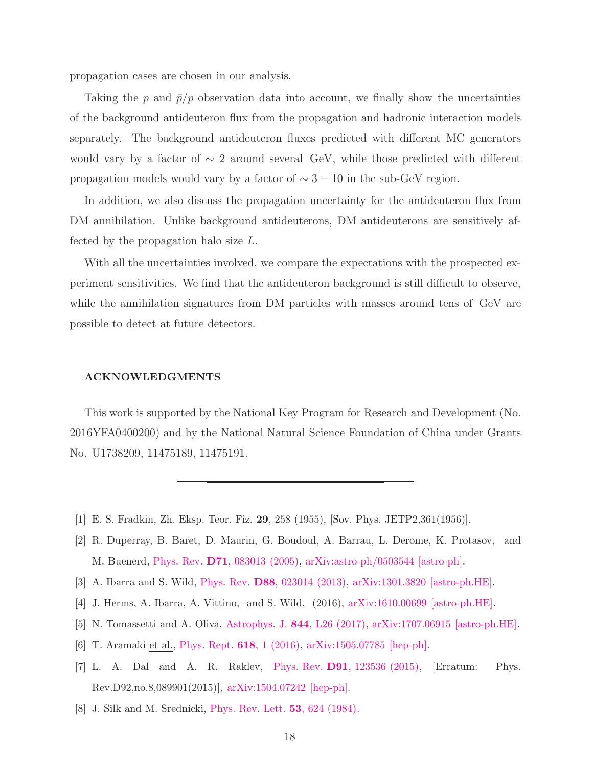propagation cases are chosen in our analysis.

Taking the p and  $\bar{p}/p$  observation data into account, we finally show the uncertainties of the background antideuteron flux from the propagation and hadronic interaction models separately. The background antideuteron fluxes predicted with different MC generators would vary by a factor of  $\sim 2$  around several GeV, while those predicted with different propagation models would vary by a factor of  $\sim 3 - 10$  in the sub-GeV region.

In addition, we also discuss the propagation uncertainty for the antideuteron flux from DM annihilation. Unlike background antideuterons, DM antideuterons are sensitively affected by the propagation halo size L.

With all the uncertainties involved, we compare the expectations with the prospected experiment sensitivities. We find that the antideuteron background is still difficult to observe, while the annihilation signatures from DM particles with masses around tens of GeV are possible to detect at future detectors.

#### ACKNOWLEDGMENTS

This work is supported by the National Key Program for Research and Development (No. 2016YFA0400200) and by the National Natural Science Foundation of China under Grants No. U1738209, 11475189, 11475191.

- <span id="page-17-0"></span>[1] E. S. Fradkin, Zh. Eksp. Teor. Fiz. 29, 258 (1955), [Sov. Phys. JETP2,361(1956)].
- <span id="page-17-1"></span>[2] R. Duperray, B. Baret, D. Maurin, G. Boudoul, A. Barrau, L. Derome, K. Protasov, and M. Buenerd, Phys. Rev. D71[, 083013 \(2005\),](http://dx.doi.org/10.1103/PhysRevD.71.083013) [arXiv:astro-ph/0503544 \[astro-ph\].](http://arxiv.org/abs/astro-ph/0503544)
- <span id="page-17-5"></span>[3] A. Ibarra and S. Wild, Phys. Rev. D88[, 023014 \(2013\),](http://dx.doi.org/10.1103/PhysRevD.88.023014) [arXiv:1301.3820 \[astro-ph.HE\].](http://arxiv.org/abs/1301.3820)
- [4] J. Herms, A. Ibarra, A. Vittino, and S. Wild, (2016), [arXiv:1610.00699 \[astro-ph.HE\].](http://arxiv.org/abs/1610.00699)
- [5] N. Tomassetti and A. Oliva, [Astrophys. J.](http://dx.doi.org/10.3847/2041-8213/aa80da) 844, L26 (2017), [arXiv:1707.06915 \[astro-ph.HE\].](http://arxiv.org/abs/1707.06915)
- <span id="page-17-4"></span>[6] T. Aramaki et al., [Phys. Rept.](http://dx.doi.org/10.1016/j.physrep.2016.01.002) 618, 1 (2016), [arXiv:1505.07785 \[hep-ph\].](http://arxiv.org/abs/1505.07785)
- <span id="page-17-2"></span>[7] L. A. Dal and A. R. Raklev, Phys. Rev. D91[, 123536 \(2015\),](http://dx.doi.org/10.1103/PhysRevD.91.123536, 10.1103/PhysRevD.92.089901, 10.1103/PhysRevD.92.069903) [Erratum: Phys. Rev.D92,no.8,089901(2015)], [arXiv:1504.07242 \[hep-ph\].](http://arxiv.org/abs/1504.07242)
- <span id="page-17-3"></span>[8] J. Silk and M. Srednicki, [Phys. Rev. Lett.](http://dx.doi.org/10.1103/PhysRevLett.53.624) 53, 624 (1984).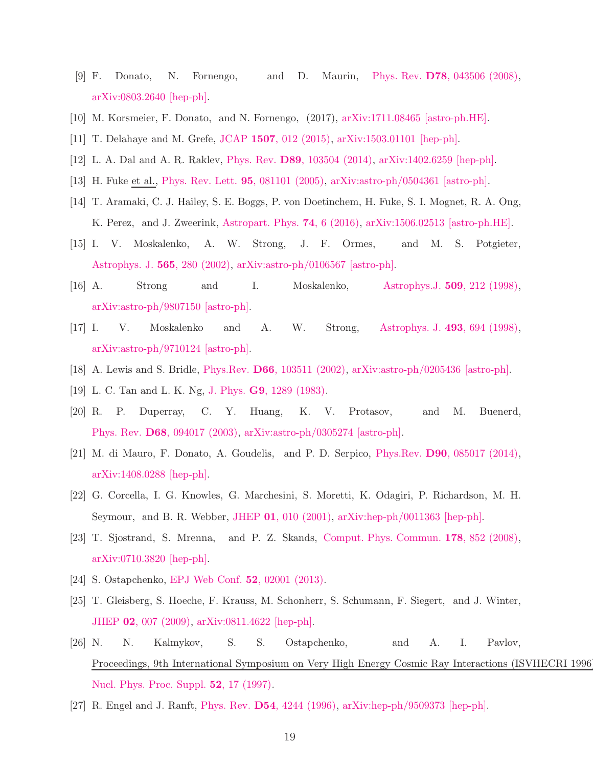- <span id="page-18-0"></span>[9] F. Donato, N. Fornengo, and D. Maurin, Phys. Rev. D78[, 043506 \(2008\),](http://dx.doi.org/10.1103/PhysRevD.78.043506) [arXiv:0803.2640 \[hep-ph\].](http://arxiv.org/abs/0803.2640)
- [10] M. Korsmeier, F. Donato, and N. Fornengo, (2017), [arXiv:1711.08465 \[astro-ph.HE\].](http://arxiv.org/abs/1711.08465)
- <span id="page-18-1"></span>[11] T. Delahaye and M. Grefe, JCAP 1507[, 012 \(2015\),](http://dx.doi.org/10.1088/1475-7516/2015/07/012) [arXiv:1503.01101 \[hep-ph\].](http://arxiv.org/abs/1503.01101)
- <span id="page-18-2"></span>[12] L. A. Dal and A. R. Raklev, Phys. Rev. D89[, 103504 \(2014\),](http://dx.doi.org/10.1103/PhysRevD.89.103504) [arXiv:1402.6259 \[hep-ph\].](http://arxiv.org/abs/1402.6259)
- <span id="page-18-3"></span>[13] H. Fuke et al., [Phys. Rev. Lett.](http://dx.doi.org/10.1103/PhysRevLett.95.081101) 95, 081101 (2005), [arXiv:astro-ph/0504361 \[astro-ph\].](http://arxiv.org/abs/astro-ph/0504361)
- [14] T. Aramaki, C. J. Hailey, S. E. Boggs, P. von Doetinchem, H. Fuke, S. I. Mognet, R. A. Ong, K. Perez, and J. Zweerink, [Astropart. Phys.](http://dx.doi.org/ 10.1016/j.astropartphys.2015.09.001) 74, 6 (2016), [arXiv:1506.02513 \[astro-ph.HE\].](http://arxiv.org/abs/1506.02513)
- <span id="page-18-4"></span>[15] I. V. Moskalenko, A. W. Strong, J. F. Ormes, and M. S. Potgieter, [Astrophys. J.](http://dx.doi.org/10.1086/324402) 565, 280 (2002), [arXiv:astro-ph/0106567 \[astro-ph\].](http://arxiv.org/abs/astro-ph/0106567)
- <span id="page-18-5"></span>[16] A. Strong and I. Moskalenko, [Astrophys.J.](http://dx.doi.org/10.1086/306470) 509, 212 (1998), [arXiv:astro-ph/9807150 \[astro-ph\].](http://arxiv.org/abs/astro-ph/9807150)
- <span id="page-18-6"></span>[17] I. V. Moskalenko and A. W. Strong, [Astrophys. J.](http://dx.doi.org/10.1086/305152) 493, 694 (1998), [arXiv:astro-ph/9710124 \[astro-ph\].](http://arxiv.org/abs/astro-ph/9710124)
- <span id="page-18-7"></span>[18] A. Lewis and S. Bridle, Phys.Rev. D66[, 103511 \(2002\),](http://dx.doi.org/10.1103/PhysRevD.66.103511) [arXiv:astro-ph/0205436 \[astro-ph\].](http://arxiv.org/abs/astro-ph/0205436)
- <span id="page-18-8"></span>[19] L. C. Tan and L. K. Ng, J. Phys. G9[, 1289 \(1983\).](http://dx.doi.org/10.1088/0305-4616/9/10/015)
- [20] R. P. Duperray, C. Y. Huang, K. V. Protasov, and M. Buenerd, Phys. Rev. D68[, 094017 \(2003\),](http://dx.doi.org/10.1103/PhysRevD.68.094017) [arXiv:astro-ph/0305274 \[astro-ph\].](http://arxiv.org/abs/astro-ph/0305274)
- <span id="page-18-9"></span>[21] M. di Mauro, F. Donato, A. Goudelis, and P. D. Serpico, Phys.Rev. D90[, 085017 \(2014\),](http://dx.doi.org/10.1103/PhysRevD.90.085017) [arXiv:1408.0288 \[hep-ph\].](http://arxiv.org/abs/1408.0288)
- <span id="page-18-10"></span>[22] G. Corcella, I. G. Knowles, G. Marchesini, S. Moretti, K. Odagiri, P. Richardson, M. H. Seymour, and B. R. Webber, JHEP 01[, 010 \(2001\),](http://dx.doi.org/ 10.1088/1126-6708/2001/01/010) [arXiv:hep-ph/0011363 \[hep-ph\].](http://arxiv.org/abs/hep-ph/0011363)
- <span id="page-18-11"></span>[23] T. Sjostrand, S. Mrenna, and P. Z. Skands, [Comput. Phys. Commun.](http://dx.doi.org/10.1016/j.cpc.2008.01.036) 178, 852 (2008), [arXiv:0710.3820 \[hep-ph\].](http://arxiv.org/abs/0710.3820)
- [24] S. Ostapchenko, [EPJ Web Conf.](http://dx.doi.org/10.1051/epjconf/20125202001) 52, 02001 (2013).
- [25] T. Gleisberg, S. Hoeche, F. Krauss, M. Schonherr, S. Schumann, F. Siegert, and J. Winter, JHEP 02[, 007 \(2009\),](http://dx.doi.org/ 10.1088/1126-6708/2009/02/007) [arXiv:0811.4622 \[hep-ph\].](http://arxiv.org/abs/0811.4622)
- [26] N. N. Kalmykov, S. S. Ostapchenko, and A. I. Pavlov, Proceedings, 9th International Symposium on Very High Energy Cosmic Ray Interactions (ISVHECRI 1996), [Nucl. Phys. Proc. Suppl.](http://dx.doi.org/ 10.1016/S0920-5632(96)00846-8) 52, 17 (1997).
- [27] R. Engel and J. Ranft, Phys. Rev. D54[, 4244 \(1996\),](http://dx.doi.org/10.1103/PhysRevD.54.4244) [arXiv:hep-ph/9509373 \[hep-ph\].](http://arxiv.org/abs/hep-ph/9509373)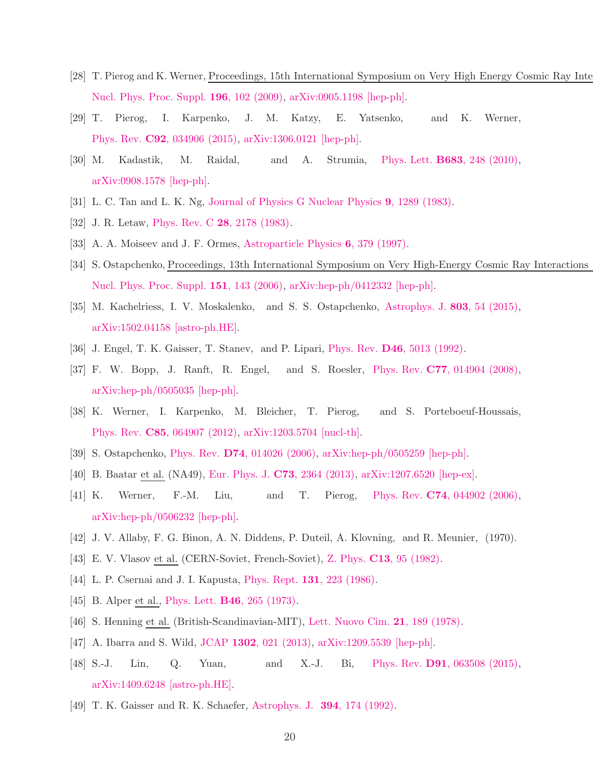- [28] T. Pierog and K. Werner, Proceedings, 15th International Symposium on Very High Energy Cosmic Ray Interactions (ISO [Nucl. Phys. Proc. Suppl.](http://dx.doi.org/10.1016/j.nuclphysbps.2009.09.017) 196, 102 (2009), [arXiv:0905.1198 \[hep-ph\].](http://arxiv.org/abs/0905.1198)
- <span id="page-19-0"></span>[29] T. Pierog, I. Karpenko, J. M. Katzy, E. Yatsenko, and K. Werner, Phys. Rev. C92[, 034906 \(2015\),](http://dx.doi.org/ 10.1103/PhysRevC.92.034906) [arXiv:1306.0121 \[hep-ph\].](http://arxiv.org/abs/1306.0121)
- <span id="page-19-1"></span>[30] M. Kadastik, M. Raidal, and A. Strumia, Phys. Lett. B683[, 248 \(2010\),](http://dx.doi.org/10.1016/j.physletb.2009.12.005) [arXiv:0908.1578 \[hep-ph\].](http://arxiv.org/abs/0908.1578)
- <span id="page-19-2"></span>[31] L. C. Tan and L. K. Ng, [Journal of Physics G Nuclear Physics](http://dx.doi.org/10.1088/0305-4616/9/10/015) 9, 1289 (1983).
- <span id="page-19-3"></span>[32] J. R. Letaw, Phys. Rev. C **28**[, 2178 \(1983\).](http://dx.doi.org/10.1103/PhysRevC.28.2178)
- <span id="page-19-4"></span>[33] A. A. Moiseev and J. F. Ormes, [Astroparticle Physics](http://dx.doi.org/10.1016/S0927-6505(96)00071-0) 6, 379 (1997).
- [34] S. Ostapchenko, Proceedings, 13th International Symposium on Very High-Energy Cosmic Ray Interactions [Nucl. Phys. Proc. Suppl.](http://dx.doi.org/ 10.1016/j.nuclphysbps.2005.07.026) 151, 143 (2006), [arXiv:hep-ph/0412332 \[hep-ph\].](http://arxiv.org/abs/hep-ph/0412332)
- <span id="page-19-8"></span>[35] M. Kachelriess, I. V. Moskalenko, and S. S. Ostapchenko, [Astrophys. J.](http://dx.doi.org/10.1088/0004-637X/803/2/54) 803, 54 (2015), [arXiv:1502.04158 \[astro-ph.HE\].](http://arxiv.org/abs/1502.04158)
- [36] J. Engel, T. K. Gaisser, T. Stanev, and P. Lipari, Phys. Rev. D46[, 5013 \(1992\).](http://dx.doi.org/ 10.1103/PhysRevD.46.5013)
- [37] F. W. Bopp, J. Ranft, R. Engel, and S. Roesler, Phys. Rev. C77[, 014904 \(2008\),](http://dx.doi.org/ 10.1103/PhysRevC.77.014904) [arXiv:hep-ph/0505035 \[hep-ph\].](http://arxiv.org/abs/hep-ph/0505035)
- <span id="page-19-5"></span>[38] K. Werner, I. Karpenko, M. Bleicher, T. Pierog, and S. Porteboeuf-Houssais, Phys. Rev. C85[, 064907 \(2012\),](http://dx.doi.org/ 10.1103/PhysRevC.85.064907) [arXiv:1203.5704 \[nucl-th\].](http://arxiv.org/abs/1203.5704)
- <span id="page-19-6"></span>[39] S. Ostapchenko, Phys. Rev. D74[, 014026 \(2006\),](http://dx.doi.org/10.1103/PhysRevD.74.014026) [arXiv:hep-ph/0505259 \[hep-ph\].](http://arxiv.org/abs/hep-ph/0505259)
- <span id="page-19-7"></span>[40] B. Baatar et al. (NA49), [Eur. Phys. J.](http://dx.doi.org/ 10.1140/epjc/s10052-013-2364-3) C73, 2364 (2013), [arXiv:1207.6520 \[hep-ex\].](http://arxiv.org/abs/1207.6520)
- <span id="page-19-9"></span>[41] K. Werner, F.-M. Liu, and T. Pierog, Phys. Rev. C74[, 044902 \(2006\),](http://dx.doi.org/10.1103/PhysRevC.74.044902) [arXiv:hep-ph/0506232 \[hep-ph\].](http://arxiv.org/abs/hep-ph/0506232)
- <span id="page-19-11"></span><span id="page-19-10"></span>[42] J. V. Allaby, F. G. Binon, A. N. Diddens, P. Duteil, A. Klovning, and R. Meunier, (1970).
- [43] E. V. Vlasov et al. (CERN-Soviet, French-Soviet), Z. Phys. C13[, 95 \(1982\).](http://dx.doi.org/10.1007/BF01547673)
- <span id="page-19-15"></span>[44] L. P. Csernai and J. I. Kapusta, Phys. Rept. **131**[, 223 \(1986\).](http://dx.doi.org/10.1016/0370-1573(86)90031-1)
- <span id="page-19-12"></span>[45] B. Alper et al., Phys. Lett. **B46**[, 265 \(1973\).](http://dx.doi.org/10.1016/0370-2693(73)90700-4)
- <span id="page-19-13"></span>[46] S. Henning et al. (British-Scandinavian-MIT), [Lett. Nuovo Cim.](http://dx.doi.org/10.1007/BF02822248) 21, 189 (1978).
- <span id="page-19-14"></span>[47] A. Ibarra and S. Wild, JCAP 1302[, 021 \(2013\),](http://dx.doi.org/10.1088/1475-7516/2013/02/021) [arXiv:1209.5539 \[hep-ph\].](http://arxiv.org/abs/1209.5539)
- <span id="page-19-16"></span>[48] S.-J. Lin, Q. Yuan, and X.-J. Bi, Phys. Rev. D91[, 063508 \(2015\),](http://dx.doi.org/10.1103/PhysRevD.91.063508) [arXiv:1409.6248 \[astro-ph.HE\].](http://arxiv.org/abs/1409.6248)
- <span id="page-19-17"></span>[49] T. K. Gaisser and R. K. Schaefer, [Astrophys. J.](http://dx.doi.org/10.1086/171568) 394, 174 (1992).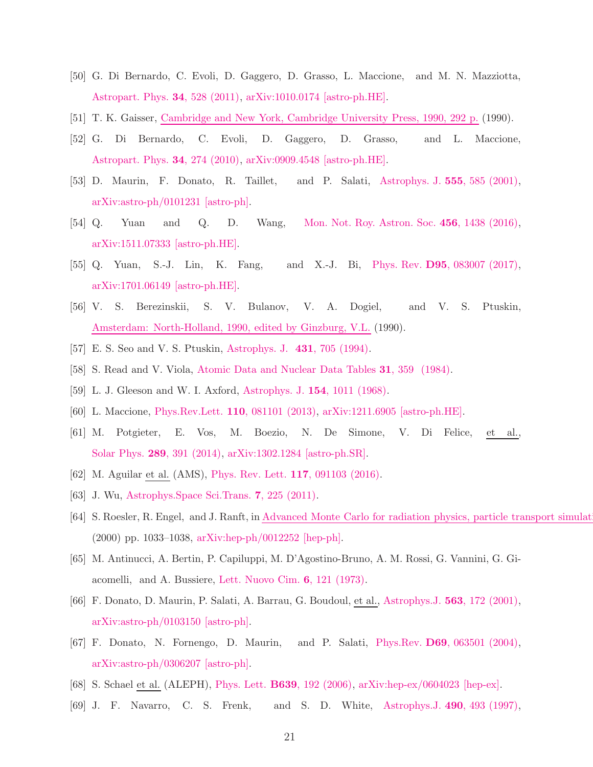- <span id="page-20-0"></span>[50] G. Di Bernardo, C. Evoli, D. Gaggero, D. Grasso, L. Maccione, and M. N. Mazziotta, [Astropart. Phys.](http://dx.doi.org/ 10.1016/j.astropartphys.2010.11.005) 34, 528 (2011), [arXiv:1010.0174 \[astro-ph.HE\].](http://arxiv.org/abs/1010.0174)
- <span id="page-20-1"></span>[51] T. K. Gaisser, [Cambridge and New York, Cambridge University Press, 1990, 292 p.](http://adsabs.harvard.edu/abs/1990cup..book.....G) (1990).
- [52] G. Di Bernardo, C. Evoli, D. Gaggero, D. Grasso, and L. Maccione, [Astropart. Phys.](http://dx.doi.org/ 10.1016/j.astropartphys.2010.08.006) 34, 274 (2010), [arXiv:0909.4548 \[astro-ph.HE\].](http://arxiv.org/abs/0909.4548)
- <span id="page-20-2"></span>[53] D. Maurin, F. Donato, R. Taillet, and P. Salati, [Astrophys. J.](http://dx.doi.org/10.1086/321496) 555, 585 (2001), [arXiv:astro-ph/0101231 \[astro-ph\].](http://arxiv.org/abs/astro-ph/0101231)
- <span id="page-20-3"></span>[54] Q. Yuan and Q. D. Wang, [Mon. Not. Roy. Astron. Soc.](http://dx.doi.org/10.1093/mnras/stv2778) 456, 1438 (2016), [arXiv:1511.07333 \[astro-ph.HE\].](http://arxiv.org/abs/1511.07333)
- <span id="page-20-4"></span>[55] Q. Yuan, S.-J. Lin, K. Fang, and X.-J. Bi, Phys. Rev. D95[, 083007 \(2017\),](http://dx.doi.org/ 10.1103/PhysRevD.95.083007) [arXiv:1701.06149 \[astro-ph.HE\].](http://arxiv.org/abs/1701.06149)
- <span id="page-20-5"></span>[56] V. S. Berezinskii, S. V. Bulanov, V. A. Dogiel, and V. S. Ptuskin, [Amsterdam: North-Holland, 1990, edited by Ginzburg, V.L.](http://adsabs.harvard.edu/abs/1990acr..book.....B) (1990).
- <span id="page-20-7"></span><span id="page-20-6"></span>[57] E. S. Seo and V. S. Ptuskin, [Astrophys. J.](http://dx.doi.org/10.1086/174520) 431, 705 (1994).
- <span id="page-20-8"></span>[58] S. Read and V. Viola, [Atomic Data and Nuclear Data Tables](http://dx.doi.org/http://dx.doi.org/10.1016/0092-640X(84)90009-3) 31, 359 (1984).
- <span id="page-20-9"></span>[59] L. J. Gleeson and W. I. Axford, [Astrophys. J.](http://dx.doi.org/10.1086/149822) 154, 1011 (1968).
- [60] L. Maccione, Phys.Rev.Lett. 110[, 081101 \(2013\),](http://dx.doi.org/10.1103/PhysRevLett.110.081101) [arXiv:1211.6905 \[astro-ph.HE\].](http://arxiv.org/abs/1211.6905)
- <span id="page-20-10"></span>[61] M. Potgieter, E. Vos, M. Boezio, N. De Simone, V. Di Felice, et al., Solar Phys. 289[, 391 \(2014\),](http://dx.doi.org/10.1007/s11207-013-0324-6) [arXiv:1302.1284 \[astro-ph.SR\].](http://arxiv.org/abs/1302.1284)
- <span id="page-20-11"></span>[62] M. Aguilar et al. (AMS), [Phys. Rev. Lett.](http://dx.doi.org/ 10.1103/PhysRevLett.117.091103) 117, 091103 (2016).
- <span id="page-20-12"></span>[63] J. Wu, Astrophys. Space Sci. Trans. **7**, 225 (2011).
- <span id="page-20-13"></span>[64] S. Roesler, R. Engel, and J. Ranft, in Advanced Monte Carlo for radiation physics, particle transport simulat (2000) pp. 1033–1038, [arXiv:hep-ph/0012252 \[hep-ph\].](http://arxiv.org/abs/hep-ph/0012252)
- <span id="page-20-14"></span>[65] M. Antinucci, A. Bertin, P. Capiluppi, M. D'Agostino-Bruno, A. M. Rossi, G. Vannini, G. Giacomelli, and A. Bussiere, [Lett. Nuovo Cim.](http://dx.doi.org/10.1007/BF02827250) 6, 121 (1973).
- <span id="page-20-15"></span>[66] F. Donato, D. Maurin, P. Salati, A. Barrau, G. Boudoul, et al., [Astrophys.J.](http://dx.doi.org/10.1086/323684) 563, 172 (2001), [arXiv:astro-ph/0103150 \[astro-ph\].](http://arxiv.org/abs/astro-ph/0103150)
- <span id="page-20-16"></span>[67] F. Donato, N. Fornengo, D. Maurin, and P. Salati, Phys.Rev. D69[, 063501 \(2004\),](http://dx.doi.org/ 10.1103/PhysRevD.69.063501) [arXiv:astro-ph/0306207 \[astro-ph\].](http://arxiv.org/abs/astro-ph/0306207)
- <span id="page-20-17"></span>[68] S. Schael et al. (ALEPH), Phys. Lett. B639[, 192 \(2006\),](http://dx.doi.org/10.1016/j.physletb.2006.06.043) [arXiv:hep-ex/0604023 \[hep-ex\].](http://arxiv.org/abs/hep-ex/0604023)
- <span id="page-20-18"></span>[69] J. F. Navarro, C. S. Frenk, and S. D. White, [Astrophys.J.](http://dx.doi.org/10.1086/304888) 490, 493 (1997),